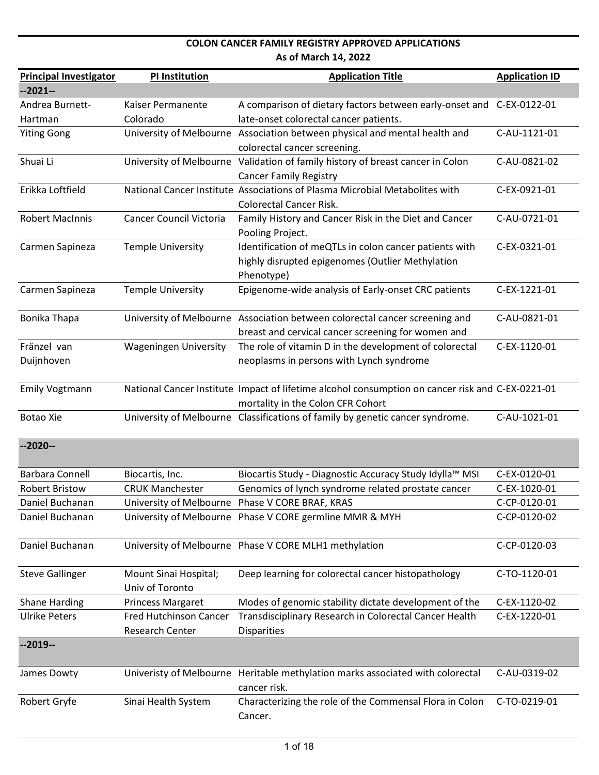| <b>Principal Investigator</b> | PI Institution                 | <b>Application Title</b>                                                                         | <b>Application ID</b> |
|-------------------------------|--------------------------------|--------------------------------------------------------------------------------------------------|-----------------------|
| $-2021-$                      |                                |                                                                                                  |                       |
| Andrea Burnett-               | Kaiser Permanente              | A comparison of dietary factors between early-onset and C-EX-0122-01                             |                       |
| Hartman                       | Colorado                       | late-onset colorectal cancer patients.                                                           |                       |
| <b>Yiting Gong</b>            |                                | University of Melbourne Association between physical and mental health and                       | C-AU-1121-01          |
|                               |                                | colorectal cancer screening.                                                                     |                       |
| Shuai Li                      |                                | University of Melbourne Validation of family history of breast cancer in Colon                   | C-AU-0821-02          |
|                               |                                | <b>Cancer Family Registry</b>                                                                    |                       |
| Erikka Loftfield              |                                | National Cancer Institute Associations of Plasma Microbial Metabolites with                      | C-EX-0921-01          |
|                               |                                | <b>Colorectal Cancer Risk.</b>                                                                   |                       |
| <b>Robert MacInnis</b>        | <b>Cancer Council Victoria</b> | Family History and Cancer Risk in the Diet and Cancer                                            | C-AU-0721-01          |
|                               |                                | Pooling Project.                                                                                 |                       |
| Carmen Sapineza               | <b>Temple University</b>       | Identification of meQTLs in colon cancer patients with                                           | C-EX-0321-01          |
|                               |                                | highly disrupted epigenomes (Outlier Methylation                                                 |                       |
|                               |                                | Phenotype)                                                                                       |                       |
| Carmen Sapineza               | <b>Temple University</b>       | Epigenome-wide analysis of Early-onset CRC patients                                              | C-EX-1221-01          |
|                               |                                |                                                                                                  |                       |
| Bonika Thapa                  |                                | University of Melbourne Association between colorectal cancer screening and                      | C-AU-0821-01          |
|                               |                                | breast and cervical cancer screening for women and                                               |                       |
| Fränzel van                   | <b>Wageningen University</b>   | The role of vitamin D in the development of colorectal                                           | C-EX-1120-01          |
| Duijnhoven                    |                                | neoplasms in persons with Lynch syndrome                                                         |                       |
|                               |                                |                                                                                                  |                       |
| <b>Emily Vogtmann</b>         |                                | National Cancer Institute Impact of lifetime alcohol consumption on cancer risk and C-EX-0221-01 |                       |
|                               |                                | mortality in the Colon CFR Cohort                                                                |                       |
| <b>Botao Xie</b>              |                                | University of Melbourne Classifications of family by genetic cancer syndrome.                    | C-AU-1021-01          |
|                               |                                |                                                                                                  |                       |
| $-2020-$                      |                                |                                                                                                  |                       |
|                               |                                |                                                                                                  |                       |
| <b>Barbara Connell</b>        | Biocartis, Inc.                | Biocartis Study - Diagnostic Accuracy Study Idylla™ MSI                                          | C-EX-0120-01          |
| <b>Robert Bristow</b>         | <b>CRUK Manchester</b>         | Genomics of lynch syndrome related prostate cancer                                               | C-EX-1020-01          |
| Daniel Buchanan               | University of Melbourne        | Phase V CORE BRAF, KRAS                                                                          | C-CP-0120-01          |
| Daniel Buchanan               |                                | University of Melbourne Phase V CORE germline MMR & MYH                                          | C-CP-0120-02          |
|                               |                                |                                                                                                  |                       |
| Daniel Buchanan               |                                | University of Melbourne Phase V CORE MLH1 methylation                                            | C-CP-0120-03          |
|                               |                                |                                                                                                  |                       |
| <b>Steve Gallinger</b>        | Mount Sinai Hospital;          | Deep learning for colorectal cancer histopathology                                               | C-TO-1120-01          |
|                               | Univ of Toronto                |                                                                                                  |                       |
| <b>Shane Harding</b>          | Princess Margaret              | Modes of genomic stability dictate development of the                                            | C-EX-1120-02          |
| <b>Ulrike Peters</b>          | <b>Fred Hutchinson Cancer</b>  | Transdisciplinary Research in Colorectal Cancer Health                                           | C-EX-1220-01          |
|                               | Research Center                | <b>Disparities</b>                                                                               |                       |
| $-2019-$                      |                                |                                                                                                  |                       |
|                               |                                |                                                                                                  |                       |
| James Dowty                   | Univeristy of Melbourne        | Heritable methylation marks associated with colorectal                                           | C-AU-0319-02          |
|                               |                                | cancer risk.                                                                                     |                       |
| Robert Gryfe                  | Sinai Health System            | Characterizing the role of the Commensal Flora in Colon                                          | C-TO-0219-01          |
|                               |                                | Cancer.                                                                                          |                       |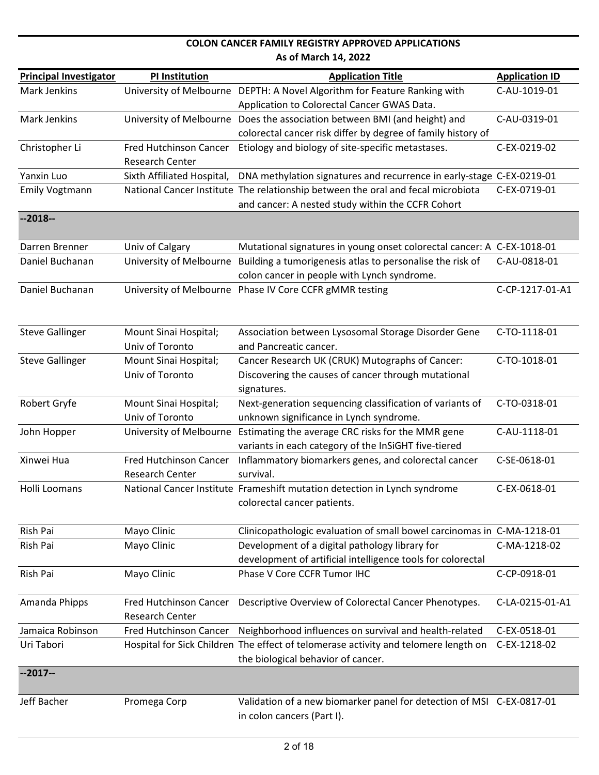| <b>Principal Investigator</b> | <b>PI Institution</b>         | <b>Application Title</b>                                                            | <b>Application ID</b> |
|-------------------------------|-------------------------------|-------------------------------------------------------------------------------------|-----------------------|
| Mark Jenkins                  |                               | University of Melbourne DEPTH: A Novel Algorithm for Feature Ranking with           | C-AU-1019-01          |
|                               |                               | Application to Colorectal Cancer GWAS Data.                                         |                       |
| Mark Jenkins                  | University of Melbourne       | Does the association between BMI (and height) and                                   | C-AU-0319-01          |
|                               |                               | colorectal cancer risk differ by degree of family history of                        |                       |
| Christopher Li                | Fred Hutchinson Cancer        | Etiology and biology of site-specific metastases.                                   | C-EX-0219-02          |
|                               | <b>Research Center</b>        |                                                                                     |                       |
| Yanxin Luo                    | Sixth Affiliated Hospital,    | DNA methylation signatures and recurrence in early-stage C-EX-0219-01               |                       |
| <b>Emily Vogtmann</b>         |                               | National Cancer Institute The relationship between the oral and fecal microbiota    | C-EX-0719-01          |
|                               |                               | and cancer: A nested study within the CCFR Cohort                                   |                       |
| $-2018-$                      |                               |                                                                                     |                       |
| Darren Brenner                | Univ of Calgary               | Mutational signatures in young onset colorectal cancer: A C-EX-1018-01              |                       |
| Daniel Buchanan               | University of Melbourne       | Building a tumorigenesis atlas to personalise the risk of                           | C-AU-0818-01          |
|                               |                               | colon cancer in people with Lynch syndrome.                                         |                       |
| Daniel Buchanan               |                               | University of Melbourne Phase IV Core CCFR gMMR testing                             | C-CP-1217-01-A1       |
|                               |                               |                                                                                     |                       |
|                               |                               |                                                                                     |                       |
| <b>Steve Gallinger</b>        | Mount Sinai Hospital;         | Association between Lysosomal Storage Disorder Gene                                 | C-TO-1118-01          |
|                               | Univ of Toronto               | and Pancreatic cancer.                                                              |                       |
| <b>Steve Gallinger</b>        | Mount Sinai Hospital;         | Cancer Research UK (CRUK) Mutographs of Cancer:                                     | C-TO-1018-01          |
|                               | Univ of Toronto               | Discovering the causes of cancer through mutational                                 |                       |
|                               |                               | signatures.                                                                         |                       |
| Robert Gryfe                  | Mount Sinai Hospital;         | Next-generation sequencing classification of variants of                            | C-TO-0318-01          |
|                               | Univ of Toronto               | unknown significance in Lynch syndrome.                                             |                       |
| John Hopper                   | University of Melbourne       | Estimating the average CRC risks for the MMR gene                                   | C-AU-1118-01          |
|                               |                               | variants in each category of the InSiGHT five-tiered                                |                       |
| Xinwei Hua                    | Fred Hutchinson Cancer        | Inflammatory biomarkers genes, and colorectal cancer                                | C-SE-0618-01          |
|                               | Research Center               | survival.                                                                           |                       |
| Holli Loomans                 |                               | National Cancer Institute Frameshift mutation detection in Lynch syndrome           | C-EX-0618-01          |
|                               |                               | colorectal cancer patients.                                                         |                       |
|                               |                               |                                                                                     |                       |
| Rish Pai                      | Mayo Clinic                   | Clinicopathologic evaluation of small bowel carcinomas in C-MA-1218-01              |                       |
| Rish Pai                      | Mayo Clinic                   | Development of a digital pathology library for                                      | C-MA-1218-02          |
|                               |                               | development of artificial intelligence tools for colorectal                         |                       |
| Rish Pai                      | Mayo Clinic                   | Phase V Core CCFR Tumor IHC                                                         | C-CP-0918-01          |
| Amanda Phipps                 | <b>Fred Hutchinson Cancer</b> | Descriptive Overview of Colorectal Cancer Phenotypes.                               | C-LA-0215-01-A1       |
|                               | <b>Research Center</b>        |                                                                                     |                       |
| Jamaica Robinson              | Fred Hutchinson Cancer        | Neighborhood influences on survival and health-related                              | C-EX-0518-01          |
| Uri Tabori                    |                               | Hospital for Sick Children The effect of telomerase activity and telomere length on | C-EX-1218-02          |
|                               |                               | the biological behavior of cancer.                                                  |                       |
| $-2017-$                      |                               |                                                                                     |                       |
|                               |                               |                                                                                     |                       |
| Jeff Bacher                   | Promega Corp                  | Validation of a new biomarker panel for detection of MSI C-EX-0817-01               |                       |
|                               |                               | in colon cancers (Part I).                                                          |                       |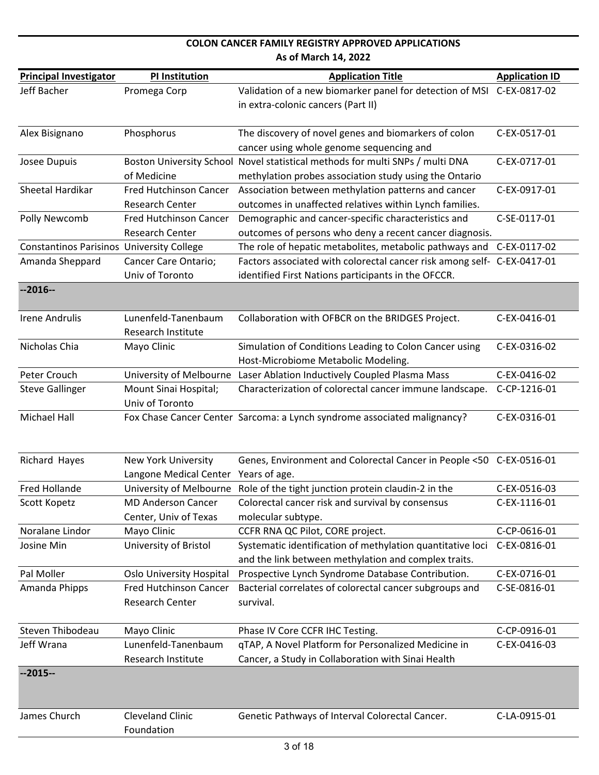|                                                  |                                      | <b>COLON CANCER FAMILY REGISTRY APPROVED APPLICATIONS</b>                                                     |                       |
|--------------------------------------------------|--------------------------------------|---------------------------------------------------------------------------------------------------------------|-----------------------|
|                                                  |                                      | As of March 14, 2022                                                                                          |                       |
| <b>Principal Investigator</b>                    | <b>PI Institution</b>                | <b>Application Title</b>                                                                                      | <b>Application ID</b> |
| Jeff Bacher                                      | Promega Corp                         | Validation of a new biomarker panel for detection of MSI C-EX-0817-02                                         |                       |
|                                                  |                                      | in extra-colonic cancers (Part II)                                                                            |                       |
|                                                  |                                      |                                                                                                               |                       |
| Alex Bisignano                                   | Phosphorus                           | The discovery of novel genes and biomarkers of colon                                                          | C-EX-0517-01          |
|                                                  |                                      | cancer using whole genome sequencing and                                                                      | C-EX-0717-01          |
| Josee Dupuis                                     | of Medicine                          | Boston University School Novel statistical methods for multi SNPs / multi DNA                                 |                       |
| Sheetal Hardikar                                 | Fred Hutchinson Cancer               | methylation probes association study using the Ontario<br>Association between methylation patterns and cancer | C-EX-0917-01          |
|                                                  | <b>Research Center</b>               | outcomes in unaffected relatives within Lynch families.                                                       |                       |
| Polly Newcomb                                    | Fred Hutchinson Cancer               | Demographic and cancer-specific characteristics and                                                           | C-SE-0117-01          |
|                                                  | <b>Research Center</b>               | outcomes of persons who deny a recent cancer diagnosis.                                                       |                       |
| <b>Constantinos Parisinos University College</b> |                                      | The role of hepatic metabolites, metabolic pathways and                                                       | C-EX-0117-02          |
| Amanda Sheppard                                  | Cancer Care Ontario;                 | Factors associated with colorectal cancer risk among self- C-EX-0417-01                                       |                       |
|                                                  | Univ of Toronto                      | identified First Nations participants in the OFCCR.                                                           |                       |
| $-2016-$                                         |                                      |                                                                                                               |                       |
|                                                  |                                      |                                                                                                               |                       |
| <b>Irene Andrulis</b>                            | Lunenfeld-Tanenbaum                  | Collaboration with OFBCR on the BRIDGES Project.                                                              | C-EX-0416-01          |
|                                                  | Research Institute                   |                                                                                                               |                       |
| Nicholas Chia                                    | Mayo Clinic                          | Simulation of Conditions Leading to Colon Cancer using                                                        | C-EX-0316-02          |
|                                                  |                                      | Host-Microbiome Metabolic Modeling.                                                                           |                       |
| Peter Crouch                                     |                                      | University of Melbourne Laser Ablation Inductively Coupled Plasma Mass                                        | C-EX-0416-02          |
| <b>Steve Gallinger</b>                           | Mount Sinai Hospital;                | Characterization of colorectal cancer immune landscape.                                                       | C-CP-1216-01          |
|                                                  | Univ of Toronto                      |                                                                                                               |                       |
| <b>Michael Hall</b>                              |                                      | Fox Chase Cancer Center Sarcoma: a Lynch syndrome associated malignancy?                                      | C-EX-0316-01          |
|                                                  |                                      |                                                                                                               |                       |
|                                                  |                                      |                                                                                                               |                       |
| Richard Hayes                                    | <b>New York University</b>           | Genes, Environment and Colorectal Cancer in People <50 C-EX-0516-01                                           |                       |
|                                                  | Langone Medical Center Years of age. |                                                                                                               |                       |
| <b>Fred Hollande</b>                             |                                      | University of Melbourne Role of the tight junction protein claudin-2 in the                                   | C-EX-0516-03          |
| Scott Kopetz                                     | <b>MD Anderson Cancer</b>            | Colorectal cancer risk and survival by consensus                                                              | C-EX-1116-01          |
|                                                  | Center, Univ of Texas                | molecular subtype.                                                                                            |                       |
| Noralane Lindor                                  | Mayo Clinic                          | CCFR RNA QC Pilot, CORE project.                                                                              | C-CP-0616-01          |
| Josine Min                                       | University of Bristol                | Systematic identification of methylation quantitative loci                                                    | C-EX-0816-01          |
|                                                  |                                      | and the link between methylation and complex traits.                                                          |                       |
| Pal Moller                                       | <b>Oslo University Hospital</b>      | Prospective Lynch Syndrome Database Contribution.                                                             | C-EX-0716-01          |
| Amanda Phipps                                    | <b>Fred Hutchinson Cancer</b>        | Bacterial correlates of colorectal cancer subgroups and                                                       | C-SE-0816-01          |
|                                                  | <b>Research Center</b>               | survival.                                                                                                     |                       |
| Steven Thibodeau                                 | Mayo Clinic                          | Phase IV Core CCFR IHC Testing.                                                                               | C-CP-0916-01          |
| Jeff Wrana                                       | Lunenfeld-Tanenbaum                  | qTAP, A Novel Platform for Personalized Medicine in                                                           | C-EX-0416-03          |
|                                                  | Research Institute                   | Cancer, a Study in Collaboration with Sinai Health                                                            |                       |
| $-2015-$                                         |                                      |                                                                                                               |                       |
|                                                  |                                      |                                                                                                               |                       |
|                                                  |                                      |                                                                                                               |                       |
| James Church                                     | <b>Cleveland Clinic</b>              | Genetic Pathways of Interval Colorectal Cancer.                                                               | C-LA-0915-01          |
|                                                  | Foundation                           |                                                                                                               |                       |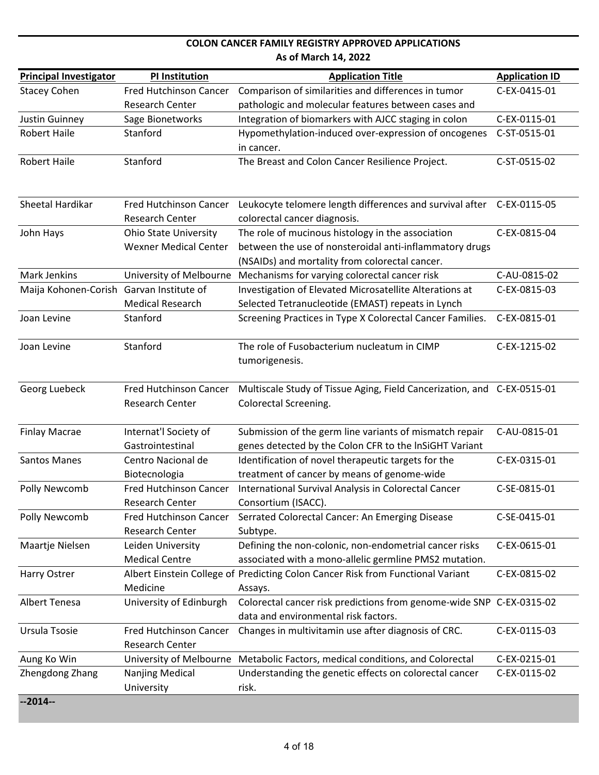| <b>Principal Investigator</b>            | <b>PI Institution</b>                  | <b>Application Title</b>                                                                           | <b>Application ID</b> |
|------------------------------------------|----------------------------------------|----------------------------------------------------------------------------------------------------|-----------------------|
| <b>Stacey Cohen</b>                      | <b>Fred Hutchinson Cancer</b>          | Comparison of similarities and differences in tumor                                                | C-EX-0415-01          |
|                                          | Research Center                        | pathologic and molecular features between cases and                                                |                       |
| Justin Guinney                           | Sage Bionetworks                       | Integration of biomarkers with AJCC staging in colon                                               | C-EX-0115-01          |
| <b>Robert Haile</b>                      | Stanford                               | Hypomethylation-induced over-expression of oncogenes                                               | C-ST-0515-01          |
|                                          |                                        | in cancer.                                                                                         |                       |
| <b>Robert Haile</b>                      | Stanford                               | The Breast and Colon Cancer Resilience Project.                                                    | C-ST-0515-02          |
|                                          |                                        |                                                                                                    |                       |
| Sheetal Hardikar                         | <b>Fred Hutchinson Cancer</b>          | Leukocyte telomere length differences and survival after C-EX-0115-05                              |                       |
|                                          | <b>Research Center</b>                 | colorectal cancer diagnosis.                                                                       |                       |
| John Hays                                | <b>Ohio State University</b>           | The role of mucinous histology in the association                                                  | C-EX-0815-04          |
|                                          | <b>Wexner Medical Center</b>           | between the use of nonsteroidal anti-inflammatory drugs                                            |                       |
|                                          |                                        | (NSAIDs) and mortality from colorectal cancer.                                                     |                       |
| <b>Mark Jenkins</b>                      |                                        | University of Melbourne Mechanisms for varying colorectal cancer risk                              | C-AU-0815-02          |
| Maija Kohonen-Corish Garvan Institute of |                                        | Investigation of Elevated Microsatellite Alterations at                                            | C-EX-0815-03          |
|                                          | <b>Medical Research</b>                | Selected Tetranucleotide (EMAST) repeats in Lynch                                                  |                       |
| Joan Levine                              | Stanford                               | Screening Practices in Type X Colorectal Cancer Families.                                          | C-EX-0815-01          |
| Joan Levine                              | Stanford                               | The role of Fusobacterium nucleatum in CIMP                                                        | C-EX-1215-02          |
|                                          |                                        | tumorigenesis.                                                                                     |                       |
|                                          |                                        |                                                                                                    |                       |
| Georg Luebeck                            | <b>Fred Hutchinson Cancer</b>          | Multiscale Study of Tissue Aging, Field Cancerization, and C-EX-0515-01                            |                       |
|                                          | Research Center                        | Colorectal Screening.                                                                              |                       |
|                                          |                                        |                                                                                                    |                       |
| <b>Finlay Macrae</b>                     | Internat'l Society of                  | Submission of the germ line variants of mismatch repair                                            | C-AU-0815-01          |
| Santos Manes                             | Gastrointestinal<br>Centro Nacional de | genes detected by the Colon CFR to the InSiGHT Variant                                             | C-EX-0315-01          |
|                                          | Biotecnologia                          | Identification of novel therapeutic targets for the<br>treatment of cancer by means of genome-wide |                       |
| Polly Newcomb                            | <b>Fred Hutchinson Cancer</b>          | International Survival Analysis in Colorectal Cancer                                               | C-SE-0815-01          |
|                                          | <b>Research Center</b>                 | Consortium (ISACC).                                                                                |                       |
| Polly Newcomb                            | Fred Hutchinson Cancer                 | Serrated Colorectal Cancer: An Emerging Disease                                                    | C-SE-0415-01          |
|                                          | Research Center                        | Subtype.                                                                                           |                       |
| Maartje Nielsen                          | Leiden University                      | Defining the non-colonic, non-endometrial cancer risks                                             | C-EX-0615-01          |
|                                          | <b>Medical Centre</b>                  | associated with a mono-allelic germline PMS2 mutation.                                             |                       |
| Harry Ostrer                             |                                        | Albert Einstein College of Predicting Colon Cancer Risk from Functional Variant                    | C-EX-0815-02          |
|                                          | Medicine                               | Assays.                                                                                            |                       |
| Albert Tenesa                            | University of Edinburgh                | Colorectal cancer risk predictions from genome-wide SNP C-EX-0315-02                               |                       |
|                                          |                                        | data and environmental risk factors.                                                               |                       |
| Ursula Tsosie                            | Fred Hutchinson Cancer                 | Changes in multivitamin use after diagnosis of CRC.                                                | C-EX-0115-03          |
|                                          | Research Center                        |                                                                                                    |                       |
| Aung Ko Win                              |                                        | University of Melbourne Metabolic Factors, medical conditions, and Colorectal                      | C-EX-0215-01          |
| Zhengdong Zhang                          | <b>Nanjing Medical</b>                 | Understanding the genetic effects on colorectal cancer                                             | C-EX-0115-02          |
|                                          | University                             | risk.                                                                                              |                       |
| $-2014-$                                 |                                        |                                                                                                    |                       |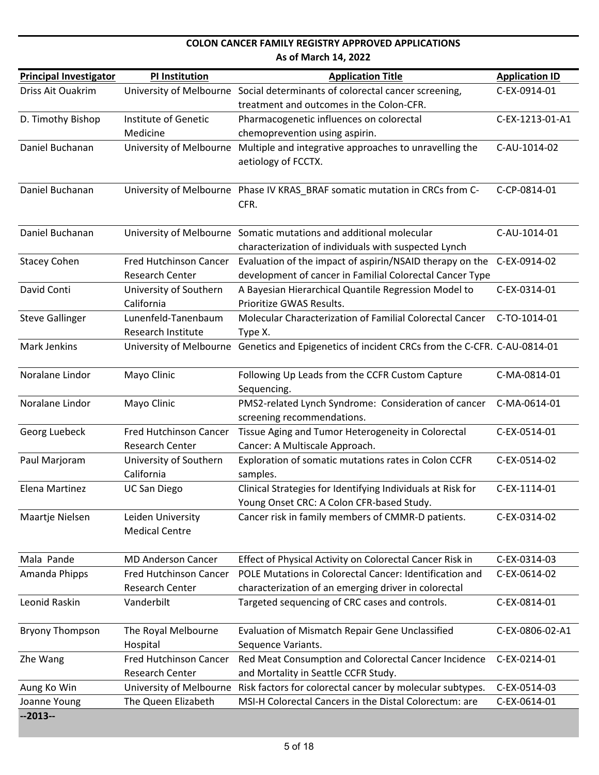| <b>Principal Investigator</b> | <b>PI Institution</b>                            | <b>Application Title</b>                                                                                                   | <b>Application ID</b> |
|-------------------------------|--------------------------------------------------|----------------------------------------------------------------------------------------------------------------------------|-----------------------|
| Driss Ait Ouakrim             |                                                  | University of Melbourne Social determinants of colorectal cancer screening,                                                | C-EX-0914-01          |
|                               |                                                  | treatment and outcomes in the Colon-CFR.                                                                                   |                       |
| D. Timothy Bishop             | Institute of Genetic                             | Pharmacogenetic influences on colorectal                                                                                   | C-EX-1213-01-A1       |
|                               | Medicine                                         | chemoprevention using aspirin.                                                                                             |                       |
| Daniel Buchanan               | University of Melbourne                          | Multiple and integrative approaches to unravelling the<br>aetiology of FCCTX.                                              | C-AU-1014-02          |
| Daniel Buchanan               |                                                  | University of Melbourne Phase IV KRAS_BRAF somatic mutation in CRCs from C-<br>CFR.                                        | C-CP-0814-01          |
| Daniel Buchanan               |                                                  | University of Melbourne Somatic mutations and additional molecular<br>characterization of individuals with suspected Lynch | C-AU-1014-01          |
| <b>Stacey Cohen</b>           | Fred Hutchinson Cancer                           | Evaluation of the impact of aspirin/NSAID therapy on the                                                                   | C-EX-0914-02          |
|                               | <b>Research Center</b>                           | development of cancer in Familial Colorectal Cancer Type                                                                   |                       |
| David Conti                   | University of Southern<br>California             | A Bayesian Hierarchical Quantile Regression Model to<br>Prioritize GWAS Results.                                           | C-EX-0314-01          |
| <b>Steve Gallinger</b>        | Lunenfeld-Tanenbaum<br><b>Research Institute</b> | Molecular Characterization of Familial Colorectal Cancer<br>Type X.                                                        | C-TO-1014-01          |
| <b>Mark Jenkins</b>           |                                                  | University of Melbourne Genetics and Epigenetics of incident CRCs from the C-CFR. C-AU-0814-01                             |                       |
| Noralane Lindor               | Mayo Clinic                                      | Following Up Leads from the CCFR Custom Capture<br>Sequencing.                                                             | C-MA-0814-01          |
| Noralane Lindor               | Mayo Clinic                                      | PMS2-related Lynch Syndrome: Consideration of cancer<br>screening recommendations.                                         | C-MA-0614-01          |
| Georg Luebeck                 | <b>Fred Hutchinson Cancer</b><br>Research Center | Tissue Aging and Tumor Heterogeneity in Colorectal<br>Cancer: A Multiscale Approach.                                       | C-EX-0514-01          |
| Paul Marjoram                 | University of Southern<br>California             | Exploration of somatic mutations rates in Colon CCFR<br>samples.                                                           | C-EX-0514-02          |
| Elena Martinez                | <b>UC San Diego</b>                              | Clinical Strategies for Identifying Individuals at Risk for<br>Young Onset CRC: A Colon CFR-based Study.                   | C-EX-1114-01          |
| Maartje Nielsen               | Leiden University<br><b>Medical Centre</b>       | Cancer risk in family members of CMMR-D patients.                                                                          | C-EX-0314-02          |
| Mala Pande                    | <b>MD Anderson Cancer</b>                        | Effect of Physical Activity on Colorectal Cancer Risk in                                                                   | C-EX-0314-03          |
| Amanda Phipps                 | <b>Fred Hutchinson Cancer</b>                    | POLE Mutations in Colorectal Cancer: Identification and                                                                    | C-EX-0614-02          |
|                               | <b>Research Center</b>                           | characterization of an emerging driver in colorectal                                                                       |                       |
| Leonid Raskin                 | Vanderbilt                                       | Targeted sequencing of CRC cases and controls.                                                                             | C-EX-0814-01          |
| <b>Bryony Thompson</b>        | The Royal Melbourne<br>Hospital                  | <b>Evaluation of Mismatch Repair Gene Unclassified</b><br>Sequence Variants.                                               | C-EX-0806-02-A1       |
| Zhe Wang                      | Fred Hutchinson Cancer<br><b>Research Center</b> | Red Meat Consumption and Colorectal Cancer Incidence<br>and Mortality in Seattle CCFR Study.                               | C-EX-0214-01          |
| Aung Ko Win                   | University of Melbourne                          | Risk factors for colorectal cancer by molecular subtypes.                                                                  | C-EX-0514-03          |
| Joanne Young                  | The Queen Elizabeth                              | MSI-H Colorectal Cancers in the Distal Colorectum: are                                                                     | C-EX-0614-01          |
| $-2013-$                      |                                                  |                                                                                                                            |                       |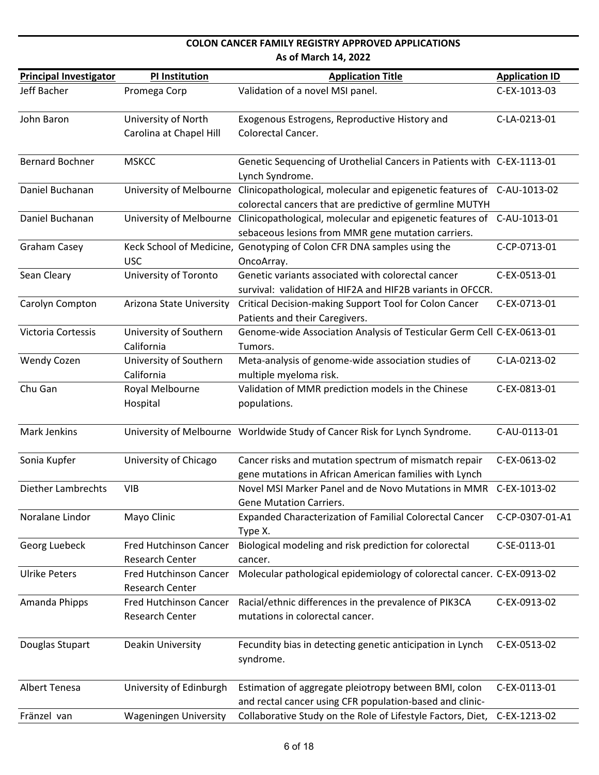| <b>Principal Investigator</b> | <b>PI Institution</b>                                   | <b>Application Title</b>                                                                                                                                   | <b>Application ID</b> |
|-------------------------------|---------------------------------------------------------|------------------------------------------------------------------------------------------------------------------------------------------------------------|-----------------------|
| Jeff Bacher                   | Promega Corp                                            | Validation of a novel MSI panel.                                                                                                                           | C-EX-1013-03          |
| John Baron                    | University of North<br>Carolina at Chapel Hill          | Exogenous Estrogens, Reproductive History and<br>Colorectal Cancer.                                                                                        | C-LA-0213-01          |
| <b>Bernard Bochner</b>        | <b>MSKCC</b>                                            | Genetic Sequencing of Urothelial Cancers in Patients with C-EX-1113-01<br>Lynch Syndrome.                                                                  |                       |
| Daniel Buchanan               |                                                         | University of Melbourne Clinicopathological, molecular and epigenetic features of C-AU-1013-02<br>colorectal cancers that are predictive of germline MUTYH |                       |
| Daniel Buchanan               |                                                         | University of Melbourne Clinicopathological, molecular and epigenetic features of C-AU-1013-01<br>sebaceous lesions from MMR gene mutation carriers.       |                       |
| <b>Graham Casey</b>           | <b>USC</b>                                              | Keck School of Medicine, Genotyping of Colon CFR DNA samples using the<br>OncoArray.                                                                       | C-CP-0713-01          |
| Sean Cleary                   | University of Toronto                                   | Genetic variants associated with colorectal cancer<br>survival: validation of HIF2A and HIF2B variants in OFCCR.                                           | C-EX-0513-01          |
| Carolyn Compton               | Arizona State University                                | Critical Decision-making Support Tool for Colon Cancer<br>Patients and their Caregivers.                                                                   | C-EX-0713-01          |
| Victoria Cortessis            | University of Southern<br>California                    | Genome-wide Association Analysis of Testicular Germ Cell C-EX-0613-01<br>Tumors.                                                                           |                       |
| <b>Wendy Cozen</b>            | University of Southern<br>California                    | Meta-analysis of genome-wide association studies of<br>multiple myeloma risk.                                                                              | C-LA-0213-02          |
| Chu Gan                       | Royal Melbourne<br>Hospital                             | Validation of MMR prediction models in the Chinese<br>populations.                                                                                         | C-EX-0813-01          |
| Mark Jenkins                  |                                                         | University of Melbourne Worldwide Study of Cancer Risk for Lynch Syndrome.                                                                                 | C-AU-0113-01          |
| Sonia Kupfer                  | University of Chicago                                   | Cancer risks and mutation spectrum of mismatch repair<br>gene mutations in African American families with Lynch                                            | C-EX-0613-02          |
| <b>Diether Lambrechts</b>     | <b>VIB</b>                                              | Novel MSI Marker Panel and de Novo Mutations in MMR<br>Gene Mutation Carriers.                                                                             | C-EX-1013-02          |
| Noralane Lindor               | Mayo Clinic                                             | Expanded Characterization of Familial Colorectal Cancer<br>Type X.                                                                                         | C-CP-0307-01-A1       |
| Georg Luebeck                 | <b>Fred Hutchinson Cancer</b><br><b>Research Center</b> | Biological modeling and risk prediction for colorectal<br>cancer.                                                                                          | C-SE-0113-01          |
| <b>Ulrike Peters</b>          | <b>Fred Hutchinson Cancer</b><br><b>Research Center</b> | Molecular pathological epidemiology of colorectal cancer. C-EX-0913-02                                                                                     |                       |
| Amanda Phipps                 | <b>Fred Hutchinson Cancer</b><br>Research Center        | Racial/ethnic differences in the prevalence of PIK3CA<br>mutations in colorectal cancer.                                                                   | C-EX-0913-02          |
| Douglas Stupart               | Deakin University                                       | Fecundity bias in detecting genetic anticipation in Lynch<br>syndrome.                                                                                     | C-EX-0513-02          |
| Albert Tenesa                 | University of Edinburgh                                 | Estimation of aggregate pleiotropy between BMI, colon<br>and rectal cancer using CFR population-based and clinic-                                          | C-EX-0113-01          |
| Fränzel van                   | <b>Wageningen University</b>                            | Collaborative Study on the Role of Lifestyle Factors, Diet,                                                                                                | C-EX-1213-02          |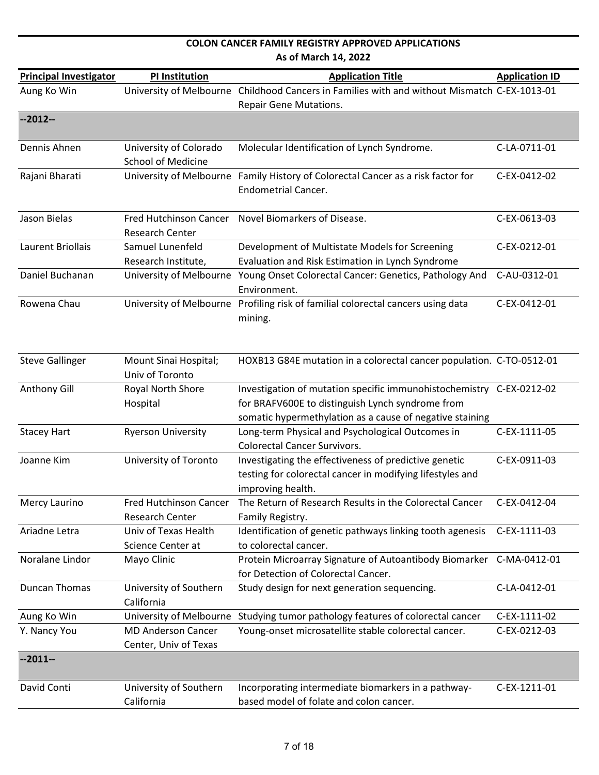| <b>Principal Investigator</b> | <b>PI Institution</b>         | <b>Application Title</b>                                                                     | <b>Application ID</b> |
|-------------------------------|-------------------------------|----------------------------------------------------------------------------------------------|-----------------------|
| Aung Ko Win                   |                               | University of Melbourne Childhood Cancers in Families with and without Mismatch C-EX-1013-01 |                       |
|                               |                               | <b>Repair Gene Mutations.</b>                                                                |                       |
| $-2012-$                      |                               |                                                                                              |                       |
| Dennis Ahnen                  | University of Colorado        | Molecular Identification of Lynch Syndrome.                                                  | C-LA-0711-01          |
|                               | <b>School of Medicine</b>     |                                                                                              |                       |
| Rajani Bharati                |                               | University of Melbourne Family History of Colorectal Cancer as a risk factor for             | C-EX-0412-02          |
|                               |                               | <b>Endometrial Cancer.</b>                                                                   |                       |
|                               |                               |                                                                                              |                       |
| Jason Bielas                  | <b>Fred Hutchinson Cancer</b> | Novel Biomarkers of Disease.                                                                 | C-EX-0613-03          |
|                               | Research Center               |                                                                                              |                       |
| Laurent Briollais             | Samuel Lunenfeld              | Development of Multistate Models for Screening                                               | C-EX-0212-01          |
|                               | Research Institute,           | Evaluation and Risk Estimation in Lynch Syndrome                                             |                       |
| Daniel Buchanan               |                               | University of Melbourne Young Onset Colorectal Cancer: Genetics, Pathology And               | C-AU-0312-01          |
|                               |                               | Environment.                                                                                 |                       |
| Rowena Chau                   |                               | University of Melbourne Profiling risk of familial colorectal cancers using data             | C-EX-0412-01          |
|                               |                               | mining.                                                                                      |                       |
|                               |                               |                                                                                              |                       |
|                               |                               |                                                                                              |                       |
| <b>Steve Gallinger</b>        | Mount Sinai Hospital;         | HOXB13 G84E mutation in a colorectal cancer population. C-TO-0512-01                         |                       |
|                               | Univ of Toronto               |                                                                                              |                       |
| Anthony Gill                  | Royal North Shore             | Investigation of mutation specific immunohistochemistry C-EX-0212-02                         |                       |
|                               | Hospital                      | for BRAFV600E to distinguish Lynch syndrome from                                             |                       |
|                               |                               | somatic hypermethylation as a cause of negative staining                                     |                       |
| <b>Stacey Hart</b>            | <b>Ryerson University</b>     | Long-term Physical and Psychological Outcomes in<br><b>Colorectal Cancer Survivors.</b>      | C-EX-1111-05          |
| Joanne Kim                    | University of Toronto         | Investigating the effectiveness of predictive genetic                                        | C-EX-0911-03          |
|                               |                               | testing for colorectal cancer in modifying lifestyles and                                    |                       |
|                               |                               | improving health.                                                                            |                       |
| Mercy Laurino                 | Fred Hutchinson Cancer        | The Return of Research Results in the Colorectal Cancer                                      | C-EX-0412-04          |
|                               | <b>Research Center</b>        | Family Registry.                                                                             |                       |
| Ariadne Letra                 | Univ of Texas Health          | Identification of genetic pathways linking tooth agenesis                                    | C-EX-1111-03          |
|                               | Science Center at             | to colorectal cancer.                                                                        |                       |
| Noralane Lindor               | Mayo Clinic                   | Protein Microarray Signature of Autoantibody Biomarker C-MA-0412-01                          |                       |
|                               |                               | for Detection of Colorectal Cancer.                                                          |                       |
| <b>Duncan Thomas</b>          | University of Southern        | Study design for next generation sequencing.                                                 | C-LA-0412-01          |
|                               | California                    |                                                                                              |                       |
| Aung Ko Win                   | University of Melbourne       | Studying tumor pathology features of colorectal cancer                                       | C-EX-1111-02          |
| Y. Nancy You                  | <b>MD Anderson Cancer</b>     | Young-onset microsatellite stable colorectal cancer.                                         | C-EX-0212-03          |
|                               | Center, Univ of Texas         |                                                                                              |                       |
| $-2011-$                      |                               |                                                                                              |                       |
|                               |                               |                                                                                              |                       |
| David Conti                   | University of Southern        | Incorporating intermediate biomarkers in a pathway-                                          | C-EX-1211-01          |
|                               | California                    | based model of folate and colon cancer.                                                      |                       |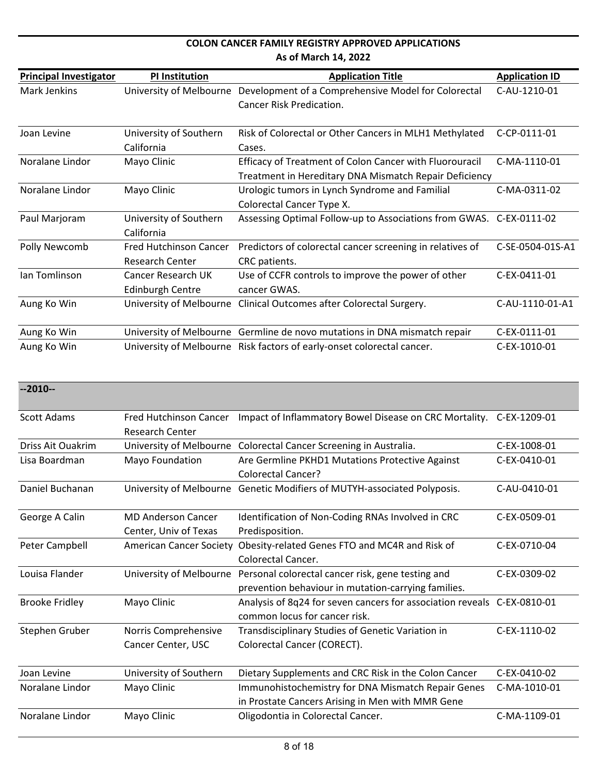| <b>Principal Investigator</b> | <b>PI Institution</b>         | <b>Application Title</b>                                                  | <b>Application ID</b> |
|-------------------------------|-------------------------------|---------------------------------------------------------------------------|-----------------------|
| Mark Jenkins                  | University of Melbourne       | Development of a Comprehensive Model for Colorectal                       | C-AU-1210-01          |
|                               |                               | Cancer Risk Predication.                                                  |                       |
|                               |                               |                                                                           |                       |
| Joan Levine                   | University of Southern        | Risk of Colorectal or Other Cancers in MLH1 Methylated                    | C-CP-0111-01          |
|                               | California                    | Cases.                                                                    |                       |
| Noralane Lindor               | Mayo Clinic                   | <b>Efficacy of Treatment of Colon Cancer with Fluorouracil</b>            | C-MA-1110-01          |
|                               |                               | Treatment in Hereditary DNA Mismatch Repair Deficiency                    |                       |
| Noralane Lindor               | Mayo Clinic                   | Urologic tumors in Lynch Syndrome and Familial                            | C-MA-0311-02          |
|                               |                               | Colorectal Cancer Type X.                                                 |                       |
| Paul Marjoram                 | University of Southern        | Assessing Optimal Follow-up to Associations from GWAS. C-EX-0111-02       |                       |
|                               | California                    |                                                                           |                       |
| Polly Newcomb                 | <b>Fred Hutchinson Cancer</b> | Predictors of colorectal cancer screening in relatives of                 | C-SE-0504-01S-A1      |
|                               | <b>Research Center</b>        | CRC patients.                                                             |                       |
| Ian Tomlinson                 | Cancer Research UK            | Use of CCFR controls to improve the power of other                        | C-EX-0411-01          |
|                               | <b>Edinburgh Centre</b>       | cancer GWAS.                                                              |                       |
| Aung Ko Win                   |                               | University of Melbourne Clinical Outcomes after Colorectal Surgery.       | C-AU-1110-01-A1       |
|                               |                               |                                                                           |                       |
| Aung Ko Win                   |                               | University of Melbourne Germline de novo mutations in DNA mismatch repair | C-EX-0111-01          |
| Aung Ko Win                   |                               | University of Melbourne Risk factors of early-onset colorectal cancer.    | C-EX-1010-01          |

| $-2010-$              |                                                    |                                                                                                          |              |
|-----------------------|----------------------------------------------------|----------------------------------------------------------------------------------------------------------|--------------|
| Scott Adams           | Fred Hutchinson Cancer<br><b>Research Center</b>   | Impact of Inflammatory Bowel Disease on CRC Mortality.                                                   | C-EX-1209-01 |
| Driss Ait Ouakrim     |                                                    | University of Melbourne Colorectal Cancer Screening in Australia.                                        | C-EX-1008-01 |
| Lisa Boardman         | Mayo Foundation                                    | Are Germline PKHD1 Mutations Protective Against<br><b>Colorectal Cancer?</b>                             | C-EX-0410-01 |
| Daniel Buchanan       |                                                    | University of Melbourne Genetic Modifiers of MUTYH-associated Polyposis.                                 | C-AU-0410-01 |
| George A Calin        | <b>MD Anderson Cancer</b><br>Center, Univ of Texas | Identification of Non-Coding RNAs Involved in CRC<br>Predisposition.                                     | C-EX-0509-01 |
| Peter Campbell        | <b>American Cancer Society</b>                     | Obesity-related Genes FTO and MC4R and Risk of<br><b>Colorectal Cancer.</b>                              | C-EX-0710-04 |
| Louisa Flander        | University of Melbourne                            | Personal colorectal cancer risk, gene testing and<br>prevention behaviour in mutation-carrying families. | C-EX-0309-02 |
| <b>Brooke Fridley</b> | Mayo Clinic                                        | Analysis of 8q24 for seven cancers for association reveals C-EX-0810-01<br>common locus for cancer risk. |              |
| Stephen Gruber        | Norris Comprehensive<br>Cancer Center, USC         | Transdisciplinary Studies of Genetic Variation in<br>Colorectal Cancer (CORECT).                         | C-EX-1110-02 |
| Joan Levine           | University of Southern                             | Dietary Supplements and CRC Risk in the Colon Cancer                                                     | C-EX-0410-02 |
| Noralane Lindor       | Mayo Clinic                                        | Immunohistochemistry for DNA Mismatch Repair Genes<br>in Prostate Cancers Arising in Men with MMR Gene   | C-MA-1010-01 |
| Noralane Lindor       | Mayo Clinic                                        | Oligodontia in Colorectal Cancer.                                                                        | C-MA-1109-01 |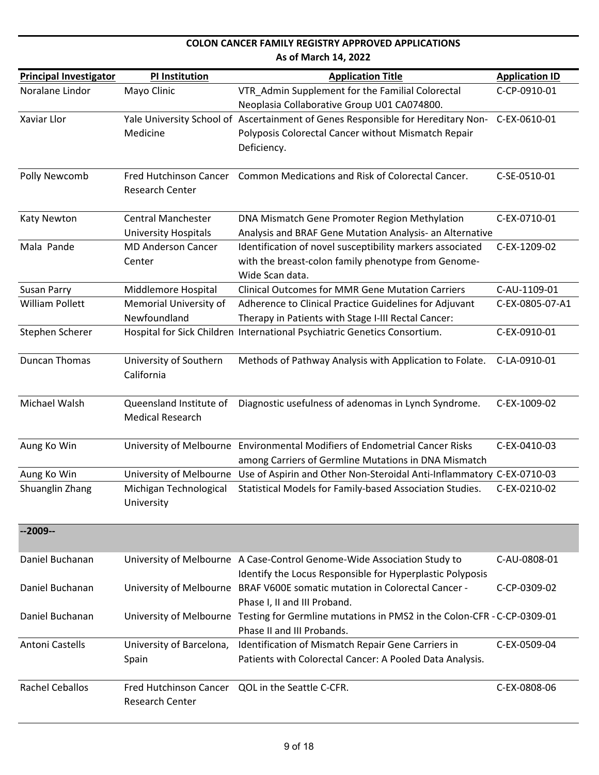#### **Principal Investigator PI Institution Application Title Application ID As of March 14, 2022** Noralane Lindor Mayo Clinic VTR Admin Supplement for the Familial Colorectal Neoplasia Collaborative Group U01 CA074800. C‐CP‐0910‐01 Xaviar Llor **Nale University School of Ascertainment of Genes Responsible for Hereditary Non-**Medicine Polyposis Colorectal Cancer without Mismatch Repair Deficiency. C‐EX‐0610‐01 Polly Newcomb Fred Hutchinson Cancer Common Medications and Risk of Colorectal Cancer. C-SE-0510-01 Research Center Katy Newton Central Manchester University Hospitals DNA Mismatch Gene Promoter Region Methylation Analysis and BRAF Gene Mutation Analysis‐ an Alternative C‐EX‐0710‐01 Mala Pande MD Anderson Cancer Center Identification of novel susceptibility markers associated with the breast-colon family phenotype from Genome-Wide Scan data. C‐EX‐1209‐02 Susan Parry Middlemore Hospital Clinical Outcomes for MMR Gene Mutation Carriers C-AU-1109-01 William Pollett Memorial University of Newfoundland Adherence to Clinical Practice Guidelines for Adjuvant Therapy in Patients with Stage I‐III Rectal Cancer: C‐EX‐0805‐07‐A1 Stephen Scherer Hospital for Sick Children International Psychiatric Genetics Consortium. C-EX-0910-01 Duncan Thomas University of Southern California Methods of Pathway Analysis with Application to Folate. C‐LA‐0910‐01 Michael Walsh **Queensland Institute of** Medical Research Diagnostic usefulness of adenomas in Lynch Syndrome. C‐EX‐1009‐02 Aung Ko Win University of Melbourne Environmental Modifiers of Endometrial Cancer Risks among Carriers of Germline Mutations in DNA Mismatch C‐EX‐0410‐03 Aung Ko Win University of Melbourne Use of Aspirin and Other Non‐Steroidal Anti‐Inflammatory C‐EX‐0710‐03 Shuanglin Zhang Michigan Technological University Statistical Models for Family‐based Association Studies. C‐EX‐0210‐02 **‐‐2009‐‐** Daniel Buchanan University of Melbourne A Case-Control Genome-Wide Association Study to Identify the Locus Responsible for Hyperplastic Polyposis C‐AU‐0808‐01 Daniel Buchanan University of Melbourne BRAF V600E somatic mutation in Colorectal Cancer -Phase I, II and III Proband. C‐CP‐0309‐02 Daniel Buchanan University of Melbourne Testing for Germline mutations in PMS2 in the Colon‐CFR ‐ C‐CP‐0309‐01 Phase II and III Probands. Antoni Castells University of Barcelona, Spain Identification of Mismatch Repair Gene Carriers in Patients with Colorectal Cancer: A Pooled Data Analysis. C‐EX‐0509‐04 Rachel Ceballos Fred Hutchinson Cancer QOL in the Seattle C-CFR. CHANNELL COMEX-0808-06 Research Center

**COLON CANCER FAMILY REGISTRY APPROVED APPLICATIONS**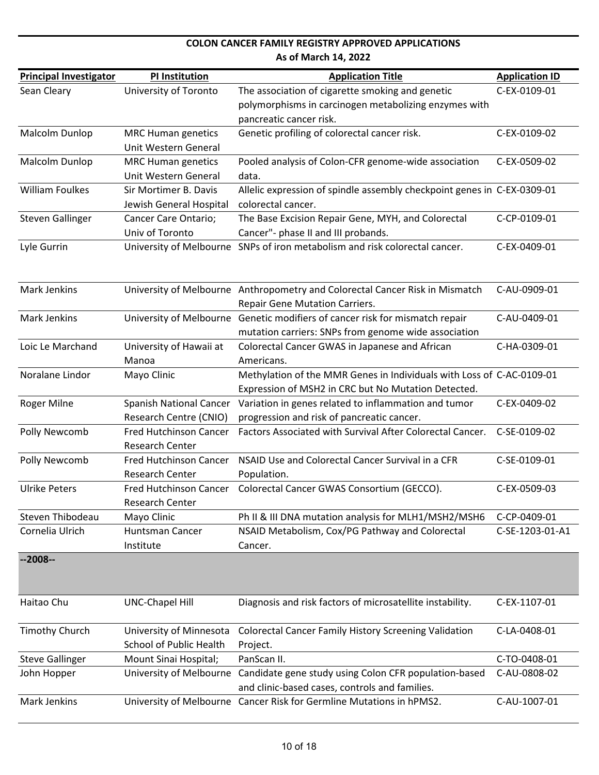| <b>Principal Investigator</b> | <b>PI Institution</b>          | <b>Application Title</b>                                                                                    | <b>Application ID</b> |
|-------------------------------|--------------------------------|-------------------------------------------------------------------------------------------------------------|-----------------------|
| Sean Cleary                   | University of Toronto          | The association of cigarette smoking and genetic                                                            | C-EX-0109-01          |
|                               |                                | polymorphisms in carcinogen metabolizing enzymes with                                                       |                       |
|                               |                                | pancreatic cancer risk.                                                                                     |                       |
| Malcolm Dunlop                | <b>MRC Human genetics</b>      | Genetic profiling of colorectal cancer risk.                                                                | C-EX-0109-02          |
|                               | Unit Western General           |                                                                                                             |                       |
| Malcolm Dunlop                | <b>MRC Human genetics</b>      | Pooled analysis of Colon-CFR genome-wide association                                                        | C-EX-0509-02          |
|                               | Unit Western General           | data.                                                                                                       |                       |
| <b>William Foulkes</b>        | Sir Mortimer B. Davis          | Allelic expression of spindle assembly checkpoint genes in C-EX-0309-01                                     |                       |
|                               | Jewish General Hospital        | colorectal cancer.                                                                                          |                       |
| <b>Steven Gallinger</b>       | Cancer Care Ontario;           | The Base Excision Repair Gene, MYH, and Colorectal                                                          | C-CP-0109-01          |
|                               | Univ of Toronto                | Cancer"- phase II and III probands.                                                                         |                       |
| Lyle Gurrin                   |                                | University of Melbourne SNPs of iron metabolism and risk colorectal cancer.                                 | C-EX-0409-01          |
|                               |                                |                                                                                                             |                       |
|                               |                                |                                                                                                             |                       |
| Mark Jenkins                  |                                | University of Melbourne Anthropometry and Colorectal Cancer Risk in Mismatch                                | C-AU-0909-01          |
|                               |                                | Repair Gene Mutation Carriers.                                                                              |                       |
| <b>Mark Jenkins</b>           |                                | University of Melbourne Genetic modifiers of cancer risk for mismatch repair                                | C-AU-0409-01          |
|                               |                                | mutation carriers: SNPs from genome wide association                                                        |                       |
| Loic Le Marchand              | University of Hawaii at        | Colorectal Cancer GWAS in Japanese and African                                                              | C-HA-0309-01          |
|                               | Manoa                          | Americans.                                                                                                  |                       |
| Noralane Lindor               | Mayo Clinic                    | Methylation of the MMR Genes in Individuals with Loss of C-AC-0109-01                                       |                       |
| Roger Milne                   | <b>Spanish National Cancer</b> | Expression of MSH2 in CRC but No Mutation Detected.<br>Variation in genes related to inflammation and tumor | C-EX-0409-02          |
|                               | Research Centre (CNIO)         | progression and risk of pancreatic cancer.                                                                  |                       |
| Polly Newcomb                 | <b>Fred Hutchinson Cancer</b>  | Factors Associated with Survival After Colorectal Cancer.                                                   | C-SE-0109-02          |
|                               | <b>Research Center</b>         |                                                                                                             |                       |
| Polly Newcomb                 | <b>Fred Hutchinson Cancer</b>  | NSAID Use and Colorectal Cancer Survival in a CFR                                                           | C-SE-0109-01          |
|                               | Research Center                | Population.                                                                                                 |                       |
| <b>Ulrike Peters</b>          | <b>Fred Hutchinson Cancer</b>  | Colorectal Cancer GWAS Consortium (GECCO).                                                                  | C-EX-0509-03          |
|                               | <b>Research Center</b>         |                                                                                                             |                       |
| Steven Thibodeau              | Mayo Clinic                    | Ph II & III DNA mutation analysis for MLH1/MSH2/MSH6                                                        | C-CP-0409-01          |
| Cornelia Ulrich               | <b>Huntsman Cancer</b>         | NSAID Metabolism, Cox/PG Pathway and Colorectal                                                             | C-SE-1203-01-A1       |
|                               | Institute                      | Cancer.                                                                                                     |                       |
| $-2008-$                      |                                |                                                                                                             |                       |
|                               |                                |                                                                                                             |                       |
|                               |                                |                                                                                                             |                       |
| Haitao Chu                    | <b>UNC-Chapel Hill</b>         | Diagnosis and risk factors of microsatellite instability.                                                   | C-EX-1107-01          |
|                               |                                |                                                                                                             |                       |
| <b>Timothy Church</b>         | University of Minnesota        | <b>Colorectal Cancer Family History Screening Validation</b>                                                | C-LA-0408-01          |
|                               | <b>School of Public Health</b> | Project.                                                                                                    |                       |
| <b>Steve Gallinger</b>        | Mount Sinai Hospital;          | PanScan II.                                                                                                 | C-TO-0408-01          |
| John Hopper                   | University of Melbourne        | Candidate gene study using Colon CFR population-based                                                       | C-AU-0808-02          |
|                               |                                | and clinic-based cases, controls and families.                                                              |                       |
| Mark Jenkins                  |                                | University of Melbourne Cancer Risk for Germline Mutations in hPMS2.                                        | C-AU-1007-01          |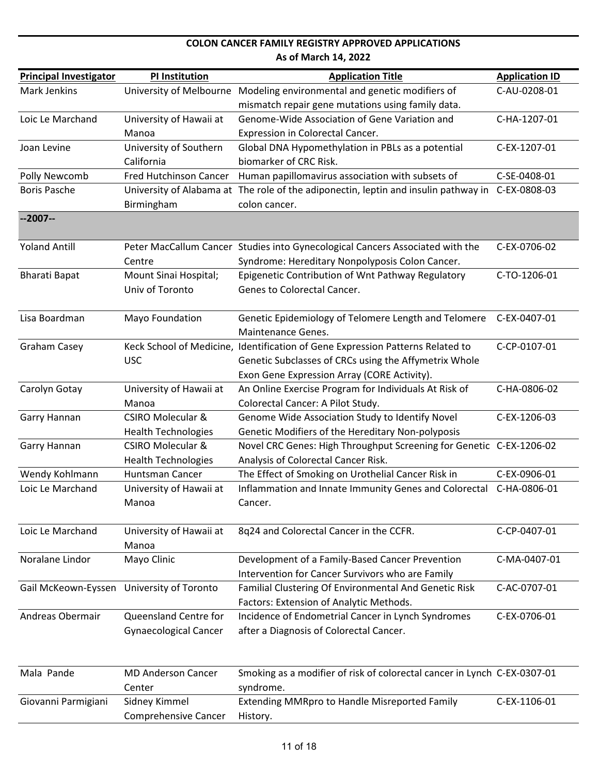| <b>Principal Investigator</b> | <b>PI Institution</b>            | <b>Application Title</b>                                                            | <b>Application ID</b> |
|-------------------------------|----------------------------------|-------------------------------------------------------------------------------------|-----------------------|
| Mark Jenkins                  | University of Melbourne          | Modeling environmental and genetic modifiers of                                     | C-AU-0208-01          |
|                               |                                  | mismatch repair gene mutations using family data.                                   |                       |
| Loic Le Marchand              | University of Hawaii at          | Genome-Wide Association of Gene Variation and                                       | C-HA-1207-01          |
|                               | Manoa                            | Expression in Colorectal Cancer.                                                    |                       |
| Joan Levine                   | University of Southern           | Global DNA Hypomethylation in PBLs as a potential                                   | C-EX-1207-01          |
|                               | California                       | biomarker of CRC Risk.                                                              |                       |
| Polly Newcomb                 | <b>Fred Hutchinson Cancer</b>    | Human papillomavirus association with subsets of                                    | C-SE-0408-01          |
| <b>Boris Pasche</b>           |                                  | University of Alabama at The role of the adiponectin, leptin and insulin pathway in | C-EX-0808-03          |
|                               | Birmingham                       | colon cancer.                                                                       |                       |
| $-2007-$                      |                                  |                                                                                     |                       |
| <b>Yoland Antill</b>          |                                  | Peter MacCallum Cancer Studies into Gynecological Cancers Associated with the       | C-EX-0706-02          |
|                               | Centre                           | Syndrome: Hereditary Nonpolyposis Colon Cancer.                                     |                       |
| <b>Bharati Bapat</b>          | Mount Sinai Hospital;            | Epigenetic Contribution of Wnt Pathway Regulatory                                   | C-TO-1206-01          |
|                               | Univ of Toronto                  | Genes to Colorectal Cancer.                                                         |                       |
|                               |                                  |                                                                                     |                       |
| Lisa Boardman                 | Mayo Foundation                  | Genetic Epidemiology of Telomere Length and Telomere                                | C-EX-0407-01          |
|                               |                                  | Maintenance Genes.                                                                  |                       |
| <b>Graham Casey</b>           |                                  | Keck School of Medicine, Identification of Gene Expression Patterns Related to      | C-CP-0107-01          |
|                               | <b>USC</b>                       | Genetic Subclasses of CRCs using the Affymetrix Whole                               |                       |
|                               |                                  | Exon Gene Expression Array (CORE Activity).                                         |                       |
| Carolyn Gotay                 | University of Hawaii at          | An Online Exercise Program for Individuals At Risk of                               | C-HA-0806-02          |
|                               | Manoa                            | Colorectal Cancer: A Pilot Study.                                                   |                       |
| Garry Hannan                  | <b>CSIRO Molecular &amp;</b>     | Genome Wide Association Study to Identify Novel                                     | C-EX-1206-03          |
|                               | <b>Health Technologies</b>       | Genetic Modifiers of the Hereditary Non-polyposis                                   |                       |
| Garry Hannan                  | <b>CSIRO Molecular &amp;</b>     | Novel CRC Genes: High Throughput Screening for Genetic C-EX-1206-02                 |                       |
|                               | <b>Health Technologies</b>       | Analysis of Colorectal Cancer Risk.                                                 |                       |
| Wendy Kohlmann                | <b>Huntsman Cancer</b>           | The Effect of Smoking on Urothelial Cancer Risk in                                  | C-EX-0906-01          |
| Loic Le Marchand              | University of Hawaii at          | Inflammation and Innate Immunity Genes and Colorectal                               | C-HA-0806-01          |
|                               | Manoa                            | Cancer.                                                                             |                       |
| Loic Le Marchand              |                                  |                                                                                     | C-CP-0407-01          |
|                               | University of Hawaii at<br>Manoa | 8q24 and Colorectal Cancer in the CCFR.                                             |                       |
| Noralane Lindor               | Mayo Clinic                      | Development of a Family-Based Cancer Prevention                                     | C-MA-0407-01          |
|                               |                                  | Intervention for Cancer Survivors who are Family                                    |                       |
| Gail McKeown-Eyssen           | University of Toronto            | Familial Clustering Of Environmental And Genetic Risk                               | C-AC-0707-01          |
|                               |                                  | Factors: Extension of Analytic Methods.                                             |                       |
| Andreas Obermair              | Queensland Centre for            | Incidence of Endometrial Cancer in Lynch Syndromes                                  | C-EX-0706-01          |
|                               | <b>Gynaecological Cancer</b>     | after a Diagnosis of Colorectal Cancer.                                             |                       |
|                               |                                  |                                                                                     |                       |
| Mala Pande                    | <b>MD Anderson Cancer</b>        | Smoking as a modifier of risk of colorectal cancer in Lynch C-EX-0307-01            |                       |
|                               | Center                           | syndrome.                                                                           |                       |
| Giovanni Parmigiani           | Sidney Kimmel                    | <b>Extending MMRpro to Handle Misreported Family</b>                                | C-EX-1106-01          |
|                               | <b>Comprehensive Cancer</b>      | History.                                                                            |                       |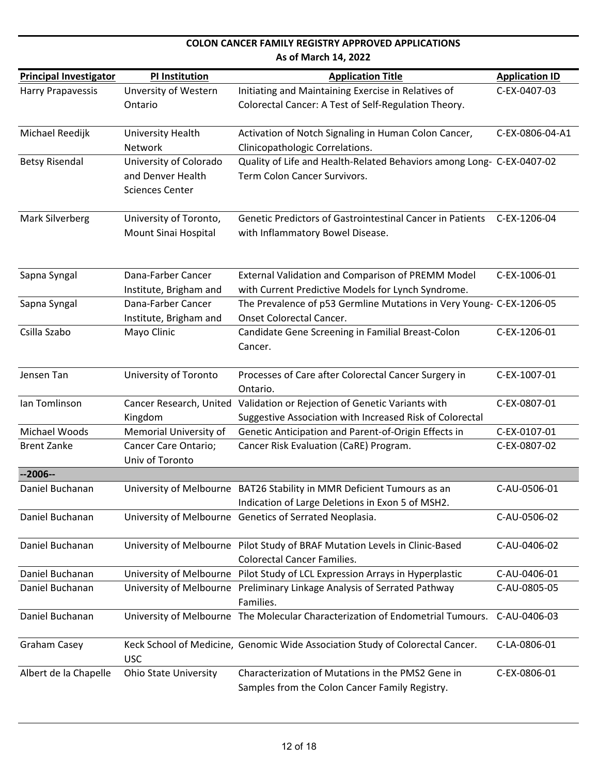|                               |                                                                       | As of March 14, 2022                                                                                                       |                       |
|-------------------------------|-----------------------------------------------------------------------|----------------------------------------------------------------------------------------------------------------------------|-----------------------|
| <b>Principal Investigator</b> | PI Institution                                                        | <b>Application Title</b>                                                                                                   | <b>Application ID</b> |
| <b>Harry Prapavessis</b>      | Unversity of Western<br>Ontario                                       | Initiating and Maintaining Exercise in Relatives of<br>Colorectal Cancer: A Test of Self-Regulation Theory.                | C-EX-0407-03          |
| Michael Reedijk               | University Health<br>Network                                          | Activation of Notch Signaling in Human Colon Cancer,<br>Clinicopathologic Correlations.                                    | C-EX-0806-04-A1       |
| <b>Betsy Risendal</b>         | University of Colorado<br>and Denver Health<br><b>Sciences Center</b> | Quality of Life and Health-Related Behaviors among Long- C-EX-0407-02<br>Term Colon Cancer Survivors.                      |                       |
| Mark Silverberg               | University of Toronto,<br>Mount Sinai Hospital                        | <b>Genetic Predictors of Gastrointestinal Cancer in Patients</b><br>with Inflammatory Bowel Disease.                       | C-EX-1206-04          |
| Sapna Syngal                  | Dana-Farber Cancer<br>Institute, Brigham and                          | External Validation and Comparison of PREMM Model<br>with Current Predictive Models for Lynch Syndrome.                    | C-EX-1006-01          |
| Sapna Syngal                  | Dana-Farber Cancer<br>Institute, Brigham and                          | The Prevalence of p53 Germline Mutations in Very Young- C-EX-1206-05<br><b>Onset Colorectal Cancer.</b>                    |                       |
| Csilla Szabo                  | Mayo Clinic                                                           | Candidate Gene Screening in Familial Breast-Colon<br>Cancer.                                                               | C-EX-1206-01          |
| Jensen Tan                    | University of Toronto                                                 | Processes of Care after Colorectal Cancer Surgery in<br>Ontario.                                                           | C-EX-1007-01          |
| Ian Tomlinson                 | Cancer Research, United<br>Kingdom                                    | Validation or Rejection of Genetic Variants with<br>Suggestive Association with Increased Risk of Colorectal               | C-EX-0807-01          |
| Michael Woods                 | Memorial University of                                                | Genetic Anticipation and Parent-of-Origin Effects in                                                                       | C-EX-0107-01          |
| <b>Brent Zanke</b>            | <b>Cancer Care Ontario;</b><br>Univ of Toronto                        | Cancer Risk Evaluation (CaRE) Program.                                                                                     | C-EX-0807-02          |
| $-2006-$                      |                                                                       |                                                                                                                            |                       |
| Daniel Buchanan               |                                                                       | University of Melbourne BAT26 Stability in MMR Deficient Tumours as an<br>Indication of Large Deletions in Exon 5 of MSH2. | C-AU-0506-01          |
| Daniel Buchanan               |                                                                       | University of Melbourne Genetics of Serrated Neoplasia.                                                                    | C-AU-0506-02          |
| Daniel Buchanan               |                                                                       | University of Melbourne Pilot Study of BRAF Mutation Levels in Clinic-Based<br><b>Colorectal Cancer Families.</b>          | C-AU-0406-02          |
| Daniel Buchanan               |                                                                       | University of Melbourne Pilot Study of LCL Expression Arrays in Hyperplastic                                               | C-AU-0406-01          |
| Daniel Buchanan               |                                                                       | University of Melbourne Preliminary Linkage Analysis of Serrated Pathway<br>Families.                                      | C-AU-0805-05          |
| Daniel Buchanan               |                                                                       | University of Melbourne The Molecular Characterization of Endometrial Tumours.                                             | C-AU-0406-03          |
| <b>Graham Casey</b>           | <b>USC</b>                                                            | Keck School of Medicine, Genomic Wide Association Study of Colorectal Cancer.                                              | C-LA-0806-01          |
| Albert de la Chapelle         | <b>Ohio State University</b>                                          | Characterization of Mutations in the PMS2 Gene in<br>Samples from the Colon Cancer Family Registry.                        | C-EX-0806-01          |

**COLON CANCER FAMILY REGISTRY APPROVED APPLICATIONS**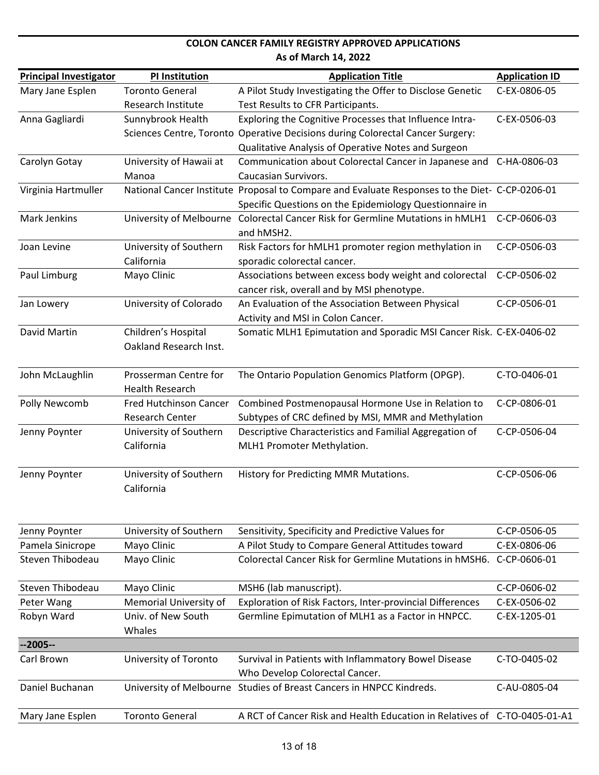| <b>Principal Investigator</b> | <b>PI Institution</b>   | <b>Application Title</b>                                                                        | <b>Application ID</b> |
|-------------------------------|-------------------------|-------------------------------------------------------------------------------------------------|-----------------------|
| Mary Jane Esplen              | <b>Toronto General</b>  | A Pilot Study Investigating the Offer to Disclose Genetic                                       | C-EX-0806-05          |
|                               | Research Institute      | Test Results to CFR Participants.                                                               |                       |
| Anna Gagliardi                | Sunnybrook Health       | Exploring the Cognitive Processes that Influence Intra-                                         | C-EX-0506-03          |
|                               |                         | Sciences Centre, Toronto Operative Decisions during Colorectal Cancer Surgery:                  |                       |
|                               |                         | Qualitative Analysis of Operative Notes and Surgeon                                             |                       |
| Carolyn Gotay                 | University of Hawaii at | Communication about Colorectal Cancer in Japanese and                                           | C-HA-0806-03          |
|                               | Manoa                   | Caucasian Survivors.                                                                            |                       |
| Virginia Hartmuller           |                         | National Cancer Institute Proposal to Compare and Evaluate Responses to the Diet- C-CP-0206-01  |                       |
|                               |                         | Specific Questions on the Epidemiology Questionnaire in                                         |                       |
| <b>Mark Jenkins</b>           | University of Melbourne | Colorectal Cancer Risk for Germline Mutations in hMLH1                                          | C-CP-0606-03          |
|                               |                         | and hMSH2.                                                                                      |                       |
| Joan Levine                   | University of Southern  | Risk Factors for hMLH1 promoter region methylation in                                           | C-CP-0506-03          |
|                               | California              | sporadic colorectal cancer.                                                                     |                       |
| Paul Limburg                  | Mayo Clinic             | Associations between excess body weight and colorectal                                          | C-CP-0506-02          |
| Jan Lowery                    | University of Colorado  | cancer risk, overall and by MSI phenotype.<br>An Evaluation of the Association Between Physical | C-CP-0506-01          |
|                               |                         | Activity and MSI in Colon Cancer.                                                               |                       |
| David Martin                  | Children's Hospital     | Somatic MLH1 Epimutation and Sporadic MSI Cancer Risk. C-EX-0406-02                             |                       |
|                               | Oakland Research Inst.  |                                                                                                 |                       |
|                               |                         |                                                                                                 |                       |
| John McLaughlin               | Prosserman Centre for   | The Ontario Population Genomics Platform (OPGP).                                                | C-TO-0406-01          |
|                               | <b>Health Research</b>  |                                                                                                 |                       |
| Polly Newcomb                 | Fred Hutchinson Cancer  | Combined Postmenopausal Hormone Use in Relation to                                              | C-CP-0806-01          |
|                               | Research Center         | Subtypes of CRC defined by MSI, MMR and Methylation                                             |                       |
| Jenny Poynter                 | University of Southern  | Descriptive Characteristics and Familial Aggregation of                                         | C-CP-0506-04          |
|                               | California              | MLH1 Promoter Methylation.                                                                      |                       |
|                               |                         |                                                                                                 |                       |
| Jenny Poynter                 | University of Southern  | History for Predicting MMR Mutations.                                                           | C-CP-0506-06          |
|                               | California              |                                                                                                 |                       |
|                               |                         |                                                                                                 |                       |
| Jenny Poynter                 | University of Southern  | Sensitivity, Specificity and Predictive Values for                                              | C-CP-0506-05          |
| Pamela Sinicrope              | Mayo Clinic             | A Pilot Study to Compare General Attitudes toward                                               | C-EX-0806-06          |
| Steven Thibodeau              | Mayo Clinic             | Colorectal Cancer Risk for Germline Mutations in hMSH6.                                         | C-CP-0606-01          |
|                               |                         |                                                                                                 |                       |
| Steven Thibodeau              | Mayo Clinic             | MSH6 (lab manuscript).                                                                          | C-CP-0606-02          |
| Peter Wang                    | Memorial University of  | Exploration of Risk Factors, Inter-provincial Differences                                       | C-EX-0506-02          |
| Robyn Ward                    | Univ. of New South      | Germline Epimutation of MLH1 as a Factor in HNPCC.                                              | C-EX-1205-01          |
|                               | Whales                  |                                                                                                 |                       |
| $-2005-$                      |                         |                                                                                                 |                       |
| Carl Brown                    | University of Toronto   | Survival in Patients with Inflammatory Bowel Disease                                            | C-TO-0405-02          |
|                               |                         | Who Develop Colorectal Cancer.                                                                  |                       |
| Daniel Buchanan               |                         | University of Melbourne Studies of Breast Cancers in HNPCC Kindreds.                            | C-AU-0805-04          |
| Mary Jane Esplen              | <b>Toronto General</b>  | A RCT of Cancer Risk and Health Education in Relatives of C-TO-0405-01-A1                       |                       |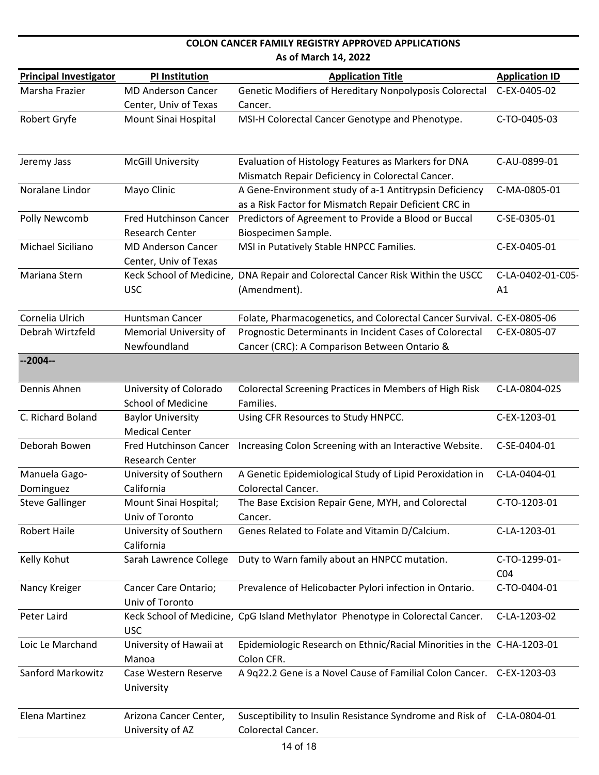| <b>Principal Investigator</b> | PI Institution                                          | <b>Application Title</b>                                                                                        | <b>Application ID</b>            |
|-------------------------------|---------------------------------------------------------|-----------------------------------------------------------------------------------------------------------------|----------------------------------|
| Marsha Frazier                | <b>MD Anderson Cancer</b>                               | Genetic Modifiers of Hereditary Nonpolyposis Colorectal                                                         | C-EX-0405-02                     |
|                               | Center, Univ of Texas                                   | Cancer.                                                                                                         |                                  |
| Robert Gryfe                  | Mount Sinai Hospital                                    | MSI-H Colorectal Cancer Genotype and Phenotype.                                                                 | C-TO-0405-03                     |
|                               |                                                         |                                                                                                                 |                                  |
| Jeremy Jass                   | <b>McGill University</b>                                | Evaluation of Histology Features as Markers for DNA                                                             | C-AU-0899-01                     |
|                               |                                                         | Mismatch Repair Deficiency in Colorectal Cancer.                                                                |                                  |
| Noralane Lindor               | Mayo Clinic                                             | A Gene-Environment study of a-1 Antitrypsin Deficiency<br>as a Risk Factor for Mismatch Repair Deficient CRC in | C-MA-0805-01                     |
| Polly Newcomb                 | <b>Fred Hutchinson Cancer</b><br><b>Research Center</b> | Predictors of Agreement to Provide a Blood or Buccal<br>Biospecimen Sample.                                     | C-SE-0305-01                     |
| Michael Siciliano             | <b>MD Anderson Cancer</b><br>Center, Univ of Texas      | MSI in Putatively Stable HNPCC Families.                                                                        | C-EX-0405-01                     |
| Mariana Stern                 |                                                         | Keck School of Medicine, DNA Repair and Colorectal Cancer Risk Within the USCC                                  | C-LA-0402-01-C05-                |
|                               | <b>USC</b>                                              | (Amendment).                                                                                                    | A1                               |
| Cornelia Ulrich               | <b>Huntsman Cancer</b>                                  | Folate, Pharmacogenetics, and Colorectal Cancer Survival. C-EX-0805-06                                          |                                  |
| Debrah Wirtzfeld              | Memorial University of                                  | Prognostic Determinants in Incident Cases of Colorectal                                                         | C-EX-0805-07                     |
|                               | Newfoundland                                            | Cancer (CRC): A Comparison Between Ontario &                                                                    |                                  |
| $-2004-$                      |                                                         |                                                                                                                 |                                  |
| Dennis Ahnen                  | University of Colorado                                  | Colorectal Screening Practices in Members of High Risk                                                          | C-LA-0804-02S                    |
|                               | <b>School of Medicine</b>                               | Families.                                                                                                       |                                  |
| C. Richard Boland             | <b>Baylor University</b><br><b>Medical Center</b>       | Using CFR Resources to Study HNPCC.                                                                             | C-EX-1203-01                     |
| Deborah Bowen                 | <b>Fred Hutchinson Cancer</b>                           | Increasing Colon Screening with an Interactive Website.                                                         | C-SE-0404-01                     |
|                               | Research Center                                         |                                                                                                                 |                                  |
| Manuela Gago-                 | University of Southern                                  | A Genetic Epidemiological Study of Lipid Peroxidation in                                                        | C-LA-0404-01                     |
| Dominguez                     | California                                              | Colorectal Cancer.                                                                                              |                                  |
| <b>Steve Gallinger</b>        | Mount Sinai Hospital;<br>Univ of Toronto                | The Base Excision Repair Gene, MYH, and Colorectal<br>Cancer.                                                   | C-TO-1203-01                     |
| <b>Robert Haile</b>           | University of Southern                                  | Genes Related to Folate and Vitamin D/Calcium.                                                                  | C-LA-1203-01                     |
|                               | California                                              |                                                                                                                 |                                  |
| Kelly Kohut                   | Sarah Lawrence College                                  | Duty to Warn family about an HNPCC mutation.                                                                    | C-TO-1299-01-<br>CO <sub>4</sub> |
| Nancy Kreiger                 | Cancer Care Ontario;<br>Univ of Toronto                 | Prevalence of Helicobacter Pylori infection in Ontario.                                                         | C-TO-0404-01                     |
| Peter Laird                   | <b>USC</b>                                              | Keck School of Medicine, CpG Island Methylator Phenotype in Colorectal Cancer.                                  | C-LA-1203-02                     |
| Loic Le Marchand              | University of Hawaii at<br>Manoa                        | Epidemiologic Research on Ethnic/Racial Minorities in the C-HA-1203-01<br>Colon CFR.                            |                                  |
| Sanford Markowitz             | Case Western Reserve<br>University                      | A 9q22.2 Gene is a Novel Cause of Familial Colon Cancer. C-EX-1203-03                                           |                                  |
| Elena Martinez                | Arizona Cancer Center,<br>University of AZ              | Susceptibility to Insulin Resistance Syndrome and Risk of C-LA-0804-01<br>Colorectal Cancer.                    |                                  |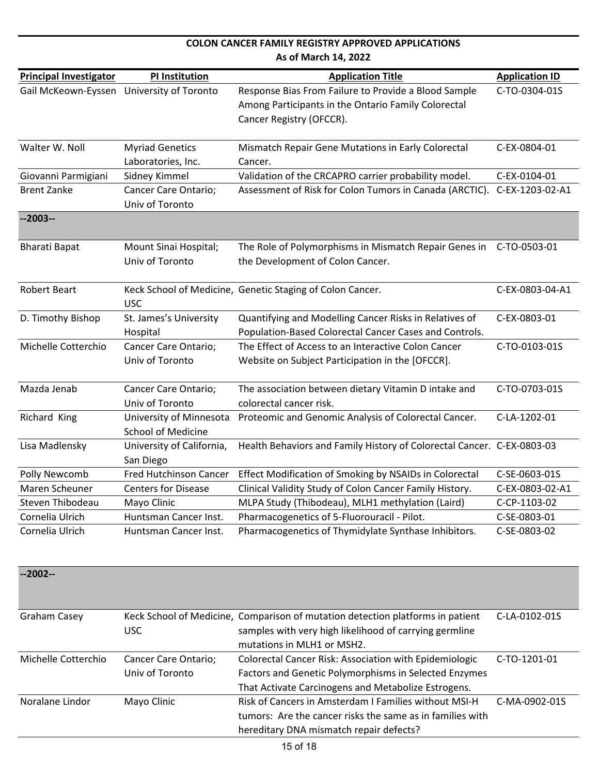| <b>COLON CANCER FAMILY REGISTRY APPROVED APPLICATIONS</b> |                                                      |                                                                                                                                         |                       |  |
|-----------------------------------------------------------|------------------------------------------------------|-----------------------------------------------------------------------------------------------------------------------------------------|-----------------------|--|
|                                                           | As of March 14, 2022                                 |                                                                                                                                         |                       |  |
| <b>Principal Investigator</b>                             | <b>PI Institution</b>                                | <b>Application Title</b>                                                                                                                | <b>Application ID</b> |  |
| Gail McKeown-Eyssen                                       | University of Toronto                                | Response Bias From Failure to Provide a Blood Sample<br>Among Participants in the Ontario Family Colorectal<br>Cancer Registry (OFCCR). | C-TO-0304-01S         |  |
| Walter W. Noll                                            | <b>Myriad Genetics</b><br>Laboratories, Inc.         | Mismatch Repair Gene Mutations in Early Colorectal<br>Cancer.                                                                           | C-EX-0804-01          |  |
| Giovanni Parmigiani                                       | Sidney Kimmel                                        | Validation of the CRCAPRO carrier probability model.                                                                                    | C-EX-0104-01          |  |
| <b>Brent Zanke</b>                                        | Cancer Care Ontario;<br>Univ of Toronto              | Assessment of Risk for Colon Tumors in Canada (ARCTIC). C-EX-1203-02-A1                                                                 |                       |  |
| $-2003-$                                                  |                                                      |                                                                                                                                         |                       |  |
| <b>Bharati Bapat</b>                                      | Mount Sinai Hospital;<br>Univ of Toronto             | The Role of Polymorphisms in Mismatch Repair Genes in<br>the Development of Colon Cancer.                                               | C-TO-0503-01          |  |
| <b>Robert Beart</b>                                       | <b>USC</b>                                           | Keck School of Medicine, Genetic Staging of Colon Cancer.                                                                               | C-EX-0803-04-A1       |  |
| D. Timothy Bishop                                         | St. James's University<br>Hospital                   | Quantifying and Modelling Cancer Risks in Relatives of<br>Population-Based Colorectal Cancer Cases and Controls.                        | C-EX-0803-01          |  |
| Michelle Cotterchio                                       | Cancer Care Ontario;<br>Univ of Toronto              | The Effect of Access to an Interactive Colon Cancer<br>Website on Subject Participation in the [OFCCR].                                 | C-TO-0103-01S         |  |
| Mazda Jenab                                               | Cancer Care Ontario;<br>Univ of Toronto              | The association between dietary Vitamin D intake and<br>colorectal cancer risk.                                                         | C-TO-0703-01S         |  |
| Richard King                                              | University of Minnesota<br><b>School of Medicine</b> | Proteomic and Genomic Analysis of Colorectal Cancer.                                                                                    | C-LA-1202-01          |  |
| Lisa Madlensky                                            | University of California,<br>San Diego               | Health Behaviors and Family History of Colorectal Cancer. C-EX-0803-03                                                                  |                       |  |
| Polly Newcomb                                             | <b>Fred Hutchinson Cancer</b>                        | Effect Modification of Smoking by NSAIDs in Colorectal                                                                                  | C-SE-0603-01S         |  |
| Maren Scheuner                                            | <b>Centers for Disease</b>                           | Clinical Validity Study of Colon Cancer Family History.                                                                                 | C-EX-0803-02-A1       |  |
| Steven Thibodeau                                          | Mayo Clinic                                          | MLPA Study (Thibodeau), MLH1 methylation (Laird)                                                                                        | C-CP-1103-02          |  |
| Cornelia Ulrich                                           | Huntsman Cancer Inst.                                | Pharmacogenetics of 5-Fluorouracil - Pilot.                                                                                             | C-SE-0803-01          |  |
| Cornelia Ulrich                                           | Huntsman Cancer Inst.                                | Pharmacogenetics of Thymidylate Synthase Inhibitors.                                                                                    | C-SE-0803-02          |  |

| $-2002-$            |                      |                                                                                |               |
|---------------------|----------------------|--------------------------------------------------------------------------------|---------------|
| Graham Casey        |                      | Keck School of Medicine, Comparison of mutation detection platforms in patient | C-LA-0102-01S |
|                     | USC.                 | samples with very high likelihood of carrying germline                         |               |
|                     |                      | mutations in MLH1 or MSH2.                                                     |               |
| Michelle Cotterchio | Cancer Care Ontario; | Colorectal Cancer Risk: Association with Epidemiologic                         | C-TO-1201-01  |
|                     | Univ of Toronto      | Factors and Genetic Polymorphisms in Selected Enzymes                          |               |
|                     |                      | That Activate Carcinogens and Metabolize Estrogens.                            |               |
| Noralane Lindor     | Mayo Clinic          | Risk of Cancers in Amsterdam I Families without MSI-H                          | C-MA-0902-01S |
|                     |                      | tumors: Are the cancer risks the same as in families with                      |               |
|                     |                      | hereditary DNA mismatch repair defects?                                        |               |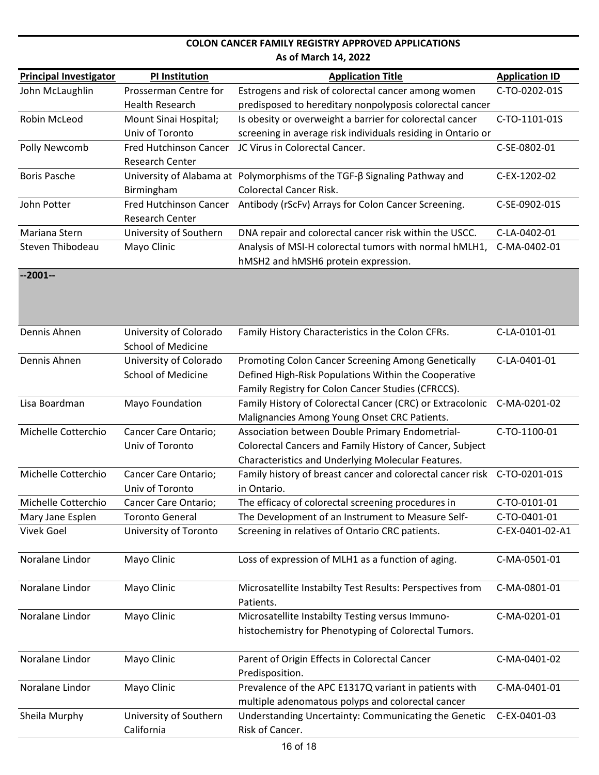| <b>Principal Investigator</b> | <b>PI Institution</b>         | <b>Application Title</b>                                                  | <b>Application ID</b> |
|-------------------------------|-------------------------------|---------------------------------------------------------------------------|-----------------------|
| John McLaughlin               | Prosserman Centre for         | Estrogens and risk of colorectal cancer among women                       | C-TO-0202-01S         |
|                               | <b>Health Research</b>        | predisposed to hereditary nonpolyposis colorectal cancer                  |                       |
| Robin McLeod                  | Mount Sinai Hospital;         | Is obesity or overweight a barrier for colorectal cancer                  | C-TO-1101-01S         |
|                               | Univ of Toronto               | screening in average risk individuals residing in Ontario or              |                       |
| Polly Newcomb                 | Fred Hutchinson Cancer        | JC Virus in Colorectal Cancer.                                            | C-SE-0802-01          |
|                               | <b>Research Center</b>        |                                                                           |                       |
| <b>Boris Pasche</b>           |                               | University of Alabama at Polymorphisms of the TGF-B Signaling Pathway and | C-EX-1202-02          |
|                               | Birmingham                    | <b>Colorectal Cancer Risk.</b>                                            |                       |
| John Potter                   | <b>Fred Hutchinson Cancer</b> | Antibody (rScFv) Arrays for Colon Cancer Screening.                       | C-SE-0902-01S         |
|                               | <b>Research Center</b>        |                                                                           |                       |
| Mariana Stern                 | University of Southern        | DNA repair and colorectal cancer risk within the USCC.                    | C-LA-0402-01          |
| Steven Thibodeau              | Mayo Clinic                   | Analysis of MSI-H colorectal tumors with normal hMLH1,                    | C-MA-0402-01          |
|                               |                               | hMSH2 and hMSH6 protein expression.                                       |                       |
| $-2001-$                      |                               |                                                                           |                       |
|                               |                               |                                                                           |                       |
|                               |                               |                                                                           |                       |
| Dennis Ahnen                  | University of Colorado        | Family History Characteristics in the Colon CFRs.                         | C-LA-0101-01          |
|                               | <b>School of Medicine</b>     |                                                                           |                       |
| Dennis Ahnen                  | University of Colorado        | Promoting Colon Cancer Screening Among Genetically                        | C-LA-0401-01          |
|                               | <b>School of Medicine</b>     | Defined High-Risk Populations Within the Cooperative                      |                       |
|                               |                               | Family Registry for Colon Cancer Studies (CFRCCS).                        |                       |
| Lisa Boardman                 | Mayo Foundation               | Family History of Colorectal Cancer (CRC) or Extracolonic                 | C-MA-0201-02          |
|                               |                               | Malignancies Among Young Onset CRC Patients.                              |                       |
| Michelle Cotterchio           | Cancer Care Ontario;          | Association between Double Primary Endometrial-                           | C-TO-1100-01          |
|                               | Univ of Toronto               | Colorectal Cancers and Family History of Cancer, Subject                  |                       |
|                               |                               | Characteristics and Underlying Molecular Features.                        |                       |
| Michelle Cotterchio           | Cancer Care Ontario;          | Family history of breast cancer and colorectal cancer risk C-TO-0201-01S  |                       |
|                               | Univ of Toronto               | in Ontario.                                                               |                       |
| Michelle Cotterchio           | Cancer Care Ontario;          | The efficacy of colorectal screening procedures in                        | C-TO-0101-01          |
| Mary Jane Esplen              | <b>Toronto General</b>        | The Development of an Instrument to Measure Self-                         | C-TO-0401-01          |
| <b>Vivek Goel</b>             | University of Toronto         | Screening in relatives of Ontario CRC patients.                           | C-EX-0401-02-A1       |
|                               |                               |                                                                           |                       |
| Noralane Lindor               | Mayo Clinic                   | Loss of expression of MLH1 as a function of aging.                        | C-MA-0501-01          |
| Noralane Lindor               |                               |                                                                           | C-MA-0801-01          |
|                               | Mayo Clinic                   | Microsatellite Instabilty Test Results: Perspectives from<br>Patients.    |                       |
| Noralane Lindor               | Mayo Clinic                   | Microsatellite Instabilty Testing versus Immuno-                          | C-MA-0201-01          |
|                               |                               | histochemistry for Phenotyping of Colorectal Tumors.                      |                       |
|                               |                               |                                                                           |                       |
| Noralane Lindor               | Mayo Clinic                   | Parent of Origin Effects in Colorectal Cancer                             | C-MA-0401-02          |
|                               |                               | Predisposition.                                                           |                       |
| Noralane Lindor               | Mayo Clinic                   | Prevalence of the APC E1317Q variant in patients with                     | C-MA-0401-01          |
|                               |                               | multiple adenomatous polyps and colorectal cancer                         |                       |
| Sheila Murphy                 | University of Southern        | Understanding Uncertainty: Communicating the Genetic                      | C-EX-0401-03          |
|                               | California                    | Risk of Cancer.                                                           |                       |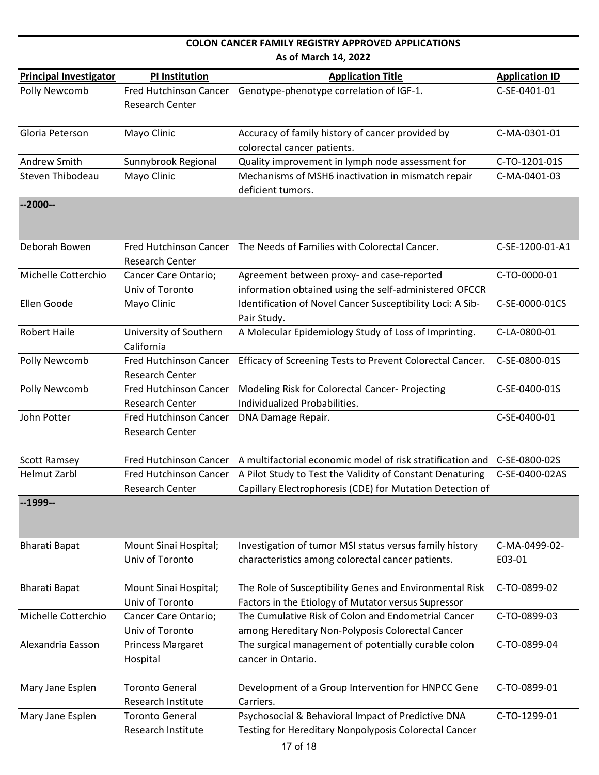|                               | As of March 14, 2022                             |                                                                                                                                               |                         |  |
|-------------------------------|--------------------------------------------------|-----------------------------------------------------------------------------------------------------------------------------------------------|-------------------------|--|
| <b>Principal Investigator</b> | <b>PI Institution</b>                            | <b>Application Title</b>                                                                                                                      | <b>Application ID</b>   |  |
| Polly Newcomb                 | Research Center                                  | Fred Hutchinson Cancer Genotype-phenotype correlation of IGF-1.                                                                               | C-SE-0401-01            |  |
| Gloria Peterson               | Mayo Clinic                                      | Accuracy of family history of cancer provided by<br>colorectal cancer patients.                                                               | C-MA-0301-01            |  |
| Andrew Smith                  | Sunnybrook Regional                              | Quality improvement in lymph node assessment for                                                                                              | C-TO-1201-01S           |  |
| Steven Thibodeau              | Mayo Clinic                                      | Mechanisms of MSH6 inactivation in mismatch repair<br>deficient tumors.                                                                       | C-MA-0401-03            |  |
| $-2000-$                      |                                                  |                                                                                                                                               |                         |  |
| Deborah Bowen                 | <b>Research Center</b>                           | Fred Hutchinson Cancer The Needs of Families with Colorectal Cancer.                                                                          | C-SE-1200-01-A1         |  |
| Michelle Cotterchio           | Cancer Care Ontario;<br>Univ of Toronto          | Agreement between proxy- and case-reported<br>information obtained using the self-administered OFCCR                                          | C-TO-0000-01            |  |
| Ellen Goode                   | Mayo Clinic                                      | Identification of Novel Cancer Susceptibility Loci: A Sib-<br>Pair Study.                                                                     | C-SE-0000-01CS          |  |
| <b>Robert Haile</b>           | University of Southern<br>California             | A Molecular Epidemiology Study of Loss of Imprinting.                                                                                         | C-LA-0800-01            |  |
| Polly Newcomb                 | Fred Hutchinson Cancer<br><b>Research Center</b> | Efficacy of Screening Tests to Prevent Colorectal Cancer.                                                                                     | C-SE-0800-01S           |  |
| Polly Newcomb                 | Fred Hutchinson Cancer<br><b>Research Center</b> | Modeling Risk for Colorectal Cancer- Projecting<br>Individualized Probabilities.                                                              | C-SE-0400-01S           |  |
| John Potter                   | Fred Hutchinson Cancer<br><b>Research Center</b> | DNA Damage Repair.                                                                                                                            | C-SE-0400-01            |  |
| <b>Scott Ramsey</b>           | <b>Fred Hutchinson Cancer</b>                    | A multifactorial economic model of risk stratification and                                                                                    | C-SE-0800-02S           |  |
| <b>Helmut Zarbl</b>           | Research Center                                  | Fred Hutchinson Cancer A Pilot Study to Test the Validity of Constant Denaturing<br>Capillary Electrophoresis (CDE) for Mutation Detection of | C-SE-0400-02AS          |  |
| $-1999-$                      |                                                  |                                                                                                                                               |                         |  |
| <b>Bharati Bapat</b>          | Mount Sinai Hospital;<br>Univ of Toronto         | Investigation of tumor MSI status versus family history<br>characteristics among colorectal cancer patients.                                  | C-MA-0499-02-<br>E03-01 |  |
| <b>Bharati Bapat</b>          | Mount Sinai Hospital;<br>Univ of Toronto         | The Role of Susceptibility Genes and Environmental Risk<br>Factors in the Etiology of Mutator versus Supressor                                | C-TO-0899-02            |  |
| Michelle Cotterchio           | Cancer Care Ontario;                             | The Cumulative Risk of Colon and Endometrial Cancer                                                                                           | C-TO-0899-03            |  |
|                               | Univ of Toronto                                  | among Hereditary Non-Polyposis Colorectal Cancer                                                                                              |                         |  |
| Alexandria Easson             | Princess Margaret<br>Hospital                    | The surgical management of potentially curable colon<br>cancer in Ontario.                                                                    | C-TO-0899-04            |  |
| Mary Jane Esplen              | <b>Toronto General</b><br>Research Institute     | Development of a Group Intervention for HNPCC Gene<br>Carriers.                                                                               | C-TO-0899-01            |  |
| Mary Jane Esplen              | <b>Toronto General</b><br>Research Institute     | Psychosocial & Behavioral Impact of Predictive DNA<br>Testing for Hereditary Nonpolyposis Colorectal Cancer                                   | C-TO-1299-01            |  |

**COLON CANCER FAMILY REGISTRY APPROVED APPLICATIONS**